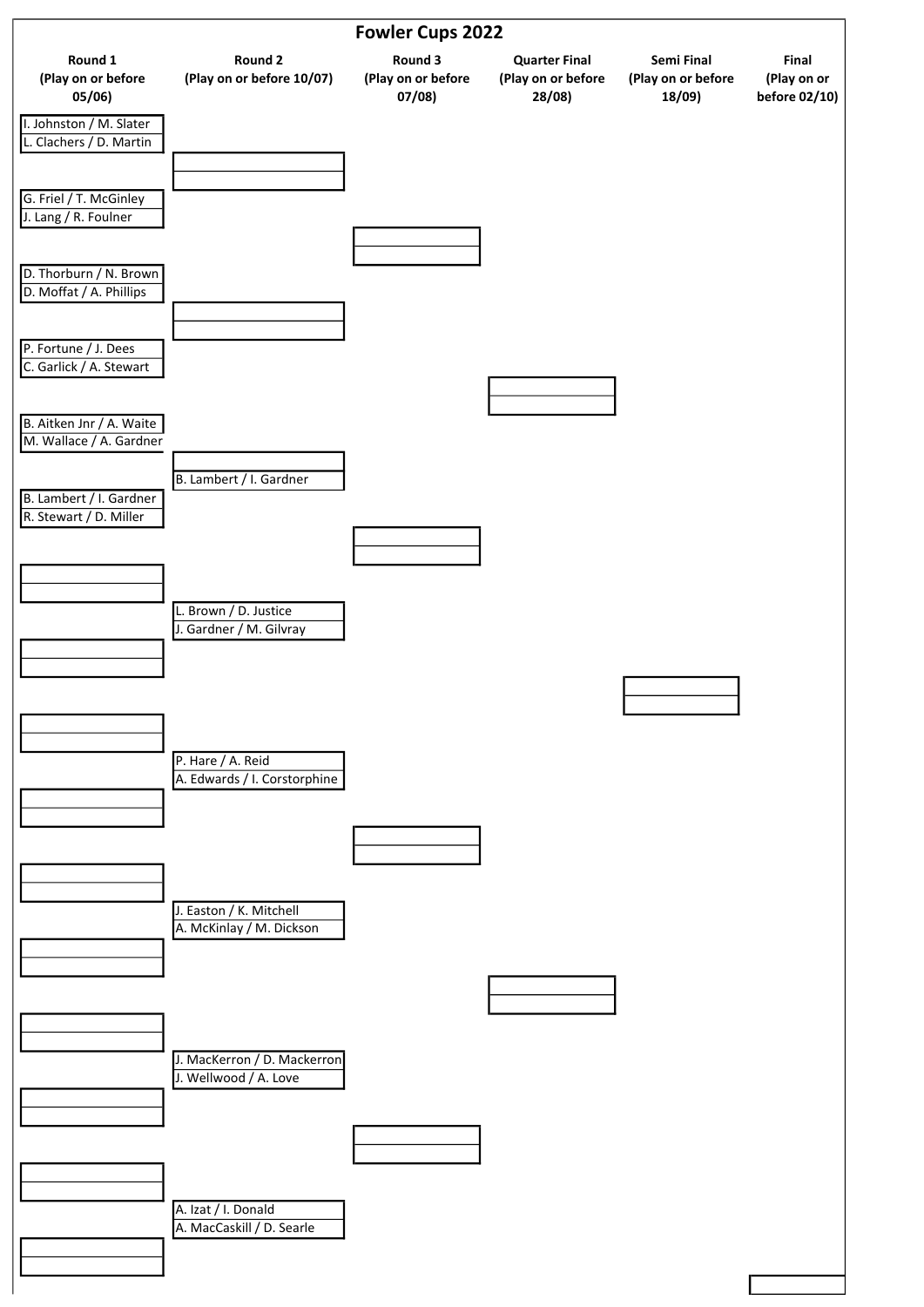